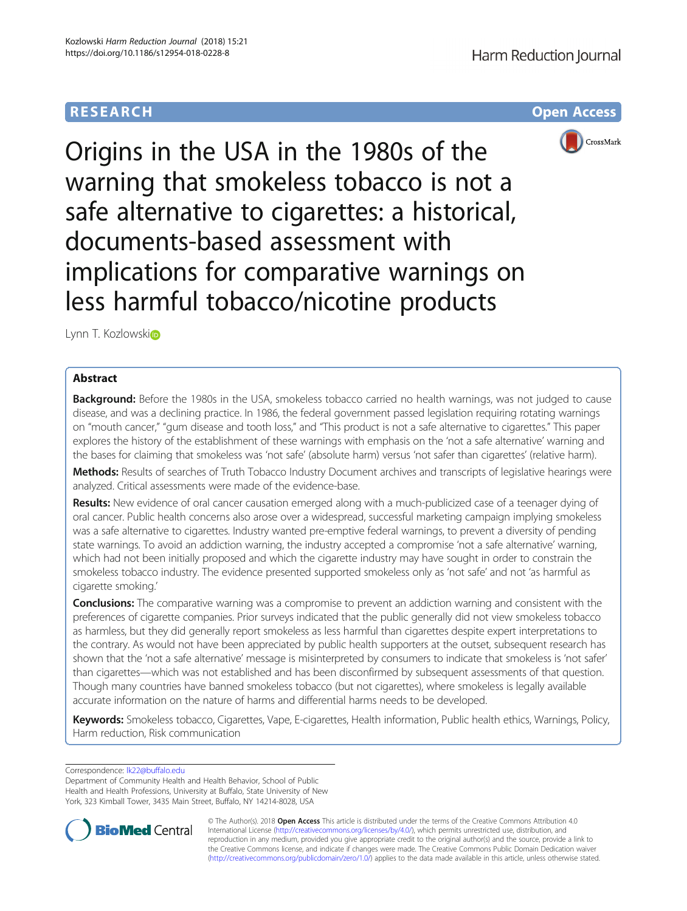# **RESEARCH CHE Open Access**



Origins in the USA in the 1980s of the warning that smokeless tobacco is not a safe alternative to cigarettes: a historical, documents-based assessment with implications for comparative warnings on less harmful tobacco/nicotine products

Lynn T. Kozlowsk[i](http://orcid.org/0000-0003-0634-5774)<sup>o</sup>

# Abstract

Background: Before the 1980s in the USA, smokeless tobacco carried no health warnings, was not judged to cause disease, and was a declining practice. In 1986, the federal government passed legislation requiring rotating warnings on "mouth cancer," "gum disease and tooth loss," and "This product is not a safe alternative to cigarettes." This paper explores the history of the establishment of these warnings with emphasis on the 'not a safe alternative' warning and the bases for claiming that smokeless was 'not safe' (absolute harm) versus 'not safer than cigarettes' (relative harm).

Methods: Results of searches of Truth Tobacco Industry Document archives and transcripts of legislative hearings were analyzed. Critical assessments were made of the evidence-base.

Results: New evidence of oral cancer causation emerged along with a much-publicized case of a teenager dying of oral cancer. Public health concerns also arose over a widespread, successful marketing campaign implying smokeless was a safe alternative to cigarettes. Industry wanted pre-emptive federal warnings, to prevent a diversity of pending state warnings. To avoid an addiction warning, the industry accepted a compromise 'not a safe alternative' warning, which had not been initially proposed and which the cigarette industry may have sought in order to constrain the smokeless tobacco industry. The evidence presented supported smokeless only as 'not safe' and not 'as harmful as cigarette smoking.'

Conclusions: The comparative warning was a compromise to prevent an addiction warning and consistent with the preferences of cigarette companies. Prior surveys indicated that the public generally did not view smokeless tobacco as harmless, but they did generally report smokeless as less harmful than cigarettes despite expert interpretations to the contrary. As would not have been appreciated by public health supporters at the outset, subsequent research has shown that the 'not a safe alternative' message is misinterpreted by consumers to indicate that smokeless is 'not safer' than cigarettes—which was not established and has been disconfirmed by subsequent assessments of that question. Though many countries have banned smokeless tobacco (but not cigarettes), where smokeless is legally available accurate information on the nature of harms and differential harms needs to be developed.

Keywords: Smokeless tobacco, Cigarettes, Vape, E-cigarettes, Health information, Public health ethics, Warnings, Policy, Harm reduction, Risk communication

Correspondence: [lk22@buffalo.edu](mailto:lk22@buffalo.edu)

Department of Community Health and Health Behavior, School of Public Health and Health Professions, University at Buffalo, State University of New York, 323 Kimball Tower, 3435 Main Street, Buffalo, NY 14214-8028, USA



© The Author(s). 2018 Open Access This article is distributed under the terms of the Creative Commons Attribution 4.0 International License [\(http://creativecommons.org/licenses/by/4.0/](http://creativecommons.org/licenses/by/4.0/)), which permits unrestricted use, distribution, and reproduction in any medium, provided you give appropriate credit to the original author(s) and the source, provide a link to the Creative Commons license, and indicate if changes were made. The Creative Commons Public Domain Dedication waiver [\(http://creativecommons.org/publicdomain/zero/1.0/](http://creativecommons.org/publicdomain/zero/1.0/)) applies to the data made available in this article, unless otherwise stated.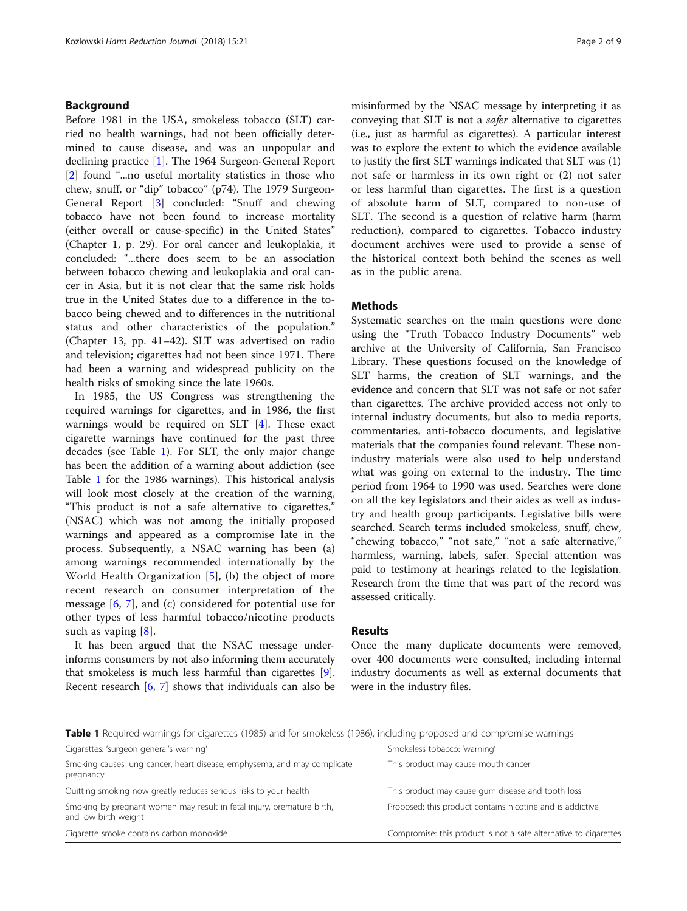### <span id="page-1-0"></span>Background

Before 1981 in the USA, smokeless tobacco (SLT) carried no health warnings, had not been officially determined to cause disease, and was an unpopular and declining practice [\[1](#page-6-0)]. The 1964 Surgeon-General Report [[2\]](#page-6-0) found "...no useful mortality statistics in those who chew, snuff, or "dip" tobacco" (p74). The 1979 Surgeon-General Report [[3](#page-7-0)] concluded: "Snuff and chewing tobacco have not been found to increase mortality (either overall or cause-specific) in the United States" (Chapter 1, p. 29). For oral cancer and leukoplakia, it concluded: "...there does seem to be an association between tobacco chewing and leukoplakia and oral cancer in Asia, but it is not clear that the same risk holds true in the United States due to a difference in the tobacco being chewed and to differences in the nutritional status and other characteristics of the population." (Chapter 13, pp. 41–42). SLT was advertised on radio and television; cigarettes had not been since 1971. There had been a warning and widespread publicity on the health risks of smoking since the late 1960s.

In 1985, the US Congress was strengthening the required warnings for cigarettes, and in 1986, the first warnings would be required on SLT [\[4](#page-7-0)]. These exact cigarette warnings have continued for the past three decades (see Table 1). For SLT, the only major change has been the addition of a warning about addiction (see Table 1 for the 1986 warnings). This historical analysis will look most closely at the creation of the warning, "This product is not a safe alternative to cigarettes," (NSAC) which was not among the initially proposed warnings and appeared as a compromise late in the process. Subsequently, a NSAC warning has been (a) among warnings recommended internationally by the World Health Organization [\[5](#page-7-0)], (b) the object of more recent research on consumer interpretation of the message [[6](#page-7-0), [7\]](#page-7-0), and (c) considered for potential use for other types of less harmful tobacco/nicotine products such as vaping [\[8\]](#page-7-0).

It has been argued that the NSAC message underinforms consumers by not also informing them accurately that smokeless is much less harmful than cigarettes [[9](#page-7-0)]. Recent research [[6,](#page-7-0) [7](#page-7-0)] shows that individuals can also be misinformed by the NSAC message by interpreting it as conveying that SLT is not a safer alternative to cigarettes (i.e., just as harmful as cigarettes). A particular interest was to explore the extent to which the evidence available to justify the first SLT warnings indicated that SLT was (1) not safe or harmless in its own right or (2) not safer or less harmful than cigarettes. The first is a question of absolute harm of SLT, compared to non-use of SLT. The second is a question of relative harm (harm reduction), compared to cigarettes. Tobacco industry document archives were used to provide a sense of the historical context both behind the scenes as well as in the public arena.

### **Methods**

Systematic searches on the main questions were done using the "Truth Tobacco Industry Documents" web archive at the University of California, San Francisco Library. These questions focused on the knowledge of SLT harms, the creation of SLT warnings, and the evidence and concern that SLT was not safe or not safer than cigarettes. The archive provided access not only to internal industry documents, but also to media reports, commentaries, anti-tobacco documents, and legislative materials that the companies found relevant. These nonindustry materials were also used to help understand what was going on external to the industry. The time period from 1964 to 1990 was used. Searches were done on all the key legislators and their aides as well as industry and health group participants. Legislative bills were searched. Search terms included smokeless, snuff, chew, "chewing tobacco," "not safe," "not a safe alternative," harmless, warning, labels, safer. Special attention was paid to testimony at hearings related to the legislation. Research from the time that was part of the record was assessed critically.

### Results

Once the many duplicate documents were removed, over 400 documents were consulted, including internal industry documents as well as external documents that were in the industry files.

Table 1 Required warnings for cigarettes (1985) and for smokeless (1986), including proposed and compromise warnings

| Cigarettes: 'surgeon general's warning'                                                        | Smokeless tobacco: 'warning'                                     |
|------------------------------------------------------------------------------------------------|------------------------------------------------------------------|
| Smoking causes lung cancer, heart disease, emphysema, and may complicate<br>pregnancy          | This product may cause mouth cancer                              |
| Quitting smoking now greatly reduces serious risks to your health                              | This product may cause gum disease and tooth loss                |
| Smoking by pregnant women may result in fetal injury, premature birth,<br>and low birth weight | Proposed: this product contains nicotine and is addictive        |
| Cigarette smoke contains carbon monoxide                                                       | Compromise: this product is not a safe alternative to cigarettes |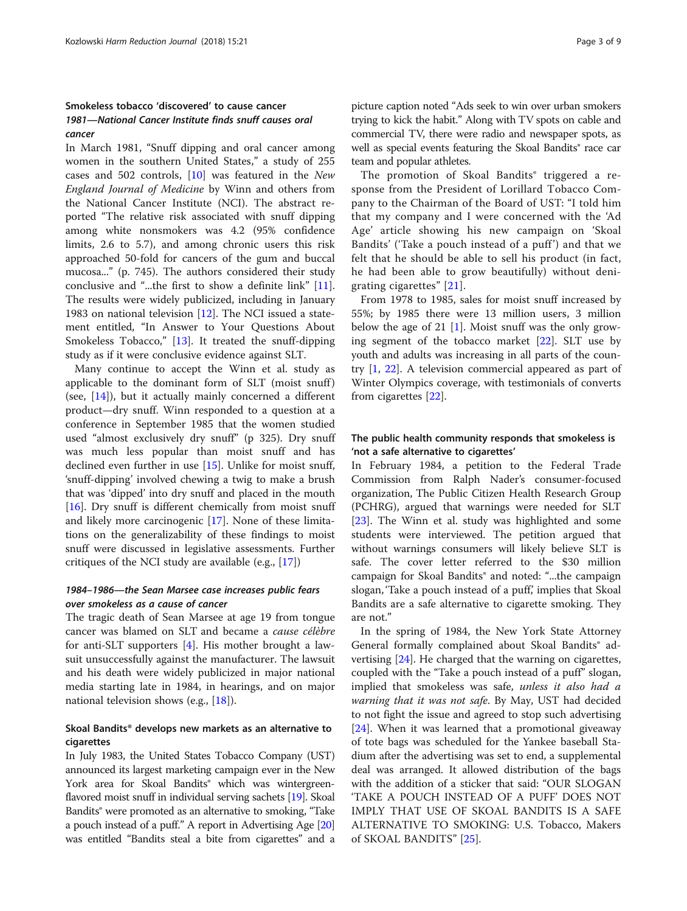# Smokeless tobacco 'discovered' to cause cancer 1981—National Cancer Institute finds snuff causes oral cancer

In March 1981, "Snuff dipping and oral cancer among women in the southern United States," a study of 255 cases and 502 controls, [[10\]](#page-7-0) was featured in the New England Journal of Medicine by Winn and others from the National Cancer Institute (NCI). The abstract reported "The relative risk associated with snuff dipping among white nonsmokers was 4.2 (95% confidence limits, 2.6 to 5.7), and among chronic users this risk approached 50-fold for cancers of the gum and buccal mucosa..." (p. 745). The authors considered their study conclusive and "...the first to show a definite link" [\[11](#page-7-0)]. The results were widely publicized, including in January 1983 on national television [\[12\]](#page-7-0). The NCI issued a statement entitled, "In Answer to Your Questions About Smokeless Tobacco," [[13](#page-7-0)]. It treated the snuff-dipping study as if it were conclusive evidence against SLT.

Many continue to accept the Winn et al. study as applicable to the dominant form of SLT (moist snuff) (see, [\[14\]](#page-7-0)), but it actually mainly concerned a different product—dry snuff. Winn responded to a question at a conference in September 1985 that the women studied used "almost exclusively dry snuff" (p 325). Dry snuff was much less popular than moist snuff and has declined even further in use [[15\]](#page-7-0). Unlike for moist snuff, 'snuff-dipping' involved chewing a twig to make a brush that was 'dipped' into dry snuff and placed in the mouth [[16\]](#page-7-0). Dry snuff is different chemically from moist snuff and likely more carcinogenic [\[17\]](#page-7-0). None of these limitations on the generalizability of these findings to moist snuff were discussed in legislative assessments. Further critiques of the NCI study are available (e.g., [[17](#page-7-0)])

# 1984–1986—the Sean Marsee case increases public fears over smokeless as a cause of cancer

The tragic death of Sean Marsee at age 19 from tongue cancer was blamed on SLT and became a cause célèbre for anti-SLT supporters [[4\]](#page-7-0). His mother brought a lawsuit unsuccessfully against the manufacturer. The lawsuit and his death were widely publicized in major national media starting late in 1984, in hearings, and on major national television shows (e.g., [[18\]](#page-7-0)).

## Skoal Bandits® develops new markets as an alternative to cigarettes

In July 1983, the United States Tobacco Company (UST) announced its largest marketing campaign ever in the New York area for Skoal Bandits® which was wintergreenflavored moist snuff in individual serving sachets [\[19\]](#page-7-0). Skoal Bandits® were promoted as an alternative to smoking, "Take a pouch instead of a puff." A report in Advertising Age [\[20](#page-7-0)] was entitled "Bandits steal a bite from cigarettes" and a

picture caption noted "Ads seek to win over urban smokers trying to kick the habit." Along with TV spots on cable and commercial TV, there were radio and newspaper spots, as well as special events featuring the Skoal Bandits® race car team and popular athletes.

The promotion of Skoal Bandits® triggered a response from the President of Lorillard Tobacco Company to the Chairman of the Board of UST: "I told him that my company and I were concerned with the 'Ad Age' article showing his new campaign on 'Skoal Bandits' ('Take a pouch instead of a puff') and that we felt that he should be able to sell his product (in fact, he had been able to grow beautifully) without denigrating cigarettes" [\[21](#page-7-0)].

From 1978 to 1985, sales for moist snuff increased by 55%; by 1985 there were 13 million users, 3 million below the age of 21  $[1]$  $[1]$ . Moist snuff was the only growing segment of the tobacco market [\[22\]](#page-7-0). SLT use by youth and adults was increasing in all parts of the country [[1,](#page-6-0) [22\]](#page-7-0). A television commercial appeared as part of Winter Olympics coverage, with testimonials of converts from cigarettes [\[22](#page-7-0)].

### The public health community responds that smokeless is 'not a safe alternative to cigarettes'

In February 1984, a petition to the Federal Trade Commission from Ralph Nader's consumer-focused organization, The Public Citizen Health Research Group (PCHRG), argued that warnings were needed for SLT [[23\]](#page-7-0). The Winn et al. study was highlighted and some students were interviewed. The petition argued that without warnings consumers will likely believe SLT is safe. The cover letter referred to the \$30 million campaign for Skoal Bandits® and noted: "...the campaign slogan, 'Take a pouch instead of a puff,' implies that Skoal Bandits are a safe alternative to cigarette smoking. They are not."

In the spring of 1984, the New York State Attorney General formally complained about Skoal Bandits® advertising [[24](#page-7-0)]. He charged that the warning on cigarettes, coupled with the "Take a pouch instead of a puff" slogan, implied that smokeless was safe, unless it also had a warning that it was not safe. By May, UST had decided to not fight the issue and agreed to stop such advertising [[24\]](#page-7-0). When it was learned that a promotional giveaway of tote bags was scheduled for the Yankee baseball Stadium after the advertising was set to end, a supplemental deal was arranged. It allowed distribution of the bags with the addition of a sticker that said: "OUR SLOGAN 'TAKE A POUCH INSTEAD OF A PUFF' DOES NOT IMPLY THAT USE OF SKOAL BANDITS IS A SAFE ALTERNATIVE TO SMOKING: U.S. Tobacco, Makers of SKOAL BANDITS" [\[25](#page-7-0)].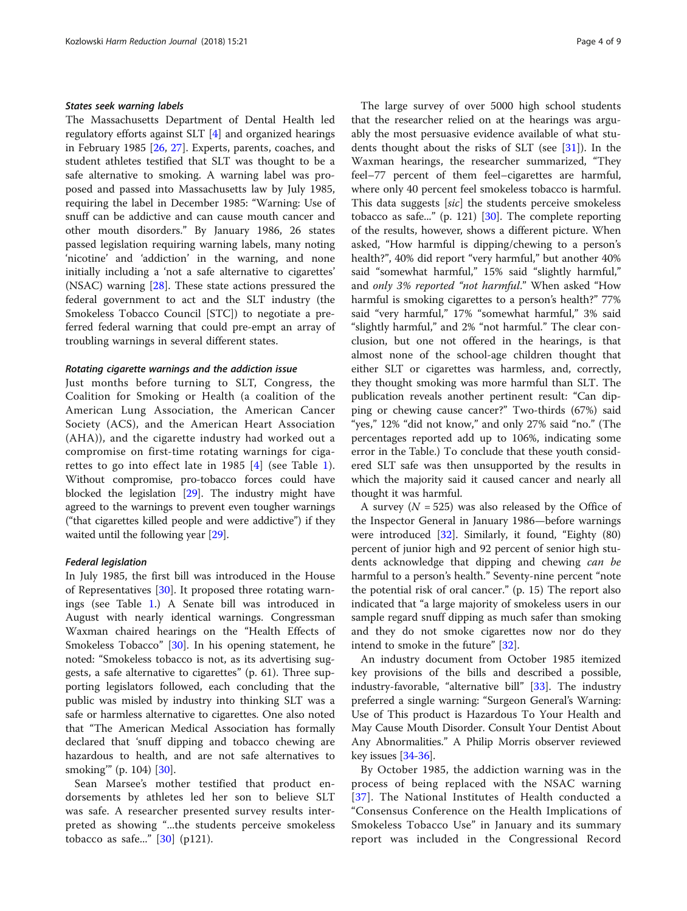### States seek warning labels

The Massachusetts Department of Dental Health led regulatory efforts against SLT [\[4](#page-7-0)] and organized hearings in February 1985 [[26,](#page-7-0) [27\]](#page-7-0). Experts, parents, coaches, and student athletes testified that SLT was thought to be a safe alternative to smoking. A warning label was proposed and passed into Massachusetts law by July 1985, requiring the label in December 1985: "Warning: Use of snuff can be addictive and can cause mouth cancer and other mouth disorders." By January 1986, 26 states passed legislation requiring warning labels, many noting 'nicotine' and 'addiction' in the warning, and none initially including a 'not a safe alternative to cigarettes' (NSAC) warning [[28\]](#page-7-0). These state actions pressured the federal government to act and the SLT industry (the Smokeless Tobacco Council [STC]) to negotiate a preferred federal warning that could pre-empt an array of troubling warnings in several different states.

### Rotating cigarette warnings and the addiction issue

Just months before turning to SLT, Congress, the Coalition for Smoking or Health (a coalition of the American Lung Association, the American Cancer Society (ACS), and the American Heart Association (AHA)), and the cigarette industry had worked out a compromise on first-time rotating warnings for cigarettes to go into effect late in 1985 [[4](#page-7-0)] (see Table [1](#page-1-0)). Without compromise, pro-tobacco forces could have blocked the legislation [[29](#page-7-0)]. The industry might have agreed to the warnings to prevent even tougher warnings ("that cigarettes killed people and were addictive") if they waited until the following year [[29](#page-7-0)].

### Federal legislation

In July 1985, the first bill was introduced in the House of Representatives [[30\]](#page-7-0). It proposed three rotating warnings (see Table [1.](#page-1-0)) A Senate bill was introduced in August with nearly identical warnings. Congressman Waxman chaired hearings on the "Health Effects of Smokeless Tobacco" [[30\]](#page-7-0). In his opening statement, he noted: "Smokeless tobacco is not, as its advertising suggests, a safe alternative to cigarettes" (p. 61). Three supporting legislators followed, each concluding that the public was misled by industry into thinking SLT was a safe or harmless alternative to cigarettes. One also noted that "The American Medical Association has formally declared that 'snuff dipping and tobacco chewing are hazardous to health, and are not safe alternatives to smoking'" (p. 104) [\[30](#page-7-0)].

Sean Marsee's mother testified that product endorsements by athletes led her son to believe SLT was safe. A researcher presented survey results interpreted as showing "...the students perceive smokeless tobacco as safe..."  $[30]$  $[30]$  (p121).

The large survey of over 5000 high school students that the researcher relied on at the hearings was arguably the most persuasive evidence available of what students thought about the risks of SLT (see [\[31](#page-7-0)]). In the Waxman hearings, the researcher summarized, "They feel–77 percent of them feel–cigarettes are harmful, where only 40 percent feel smokeless tobacco is harmful. This data suggests [sic] the students perceive smokeless tobacco as safe..." (p. 121) [[30](#page-7-0)]. The complete reporting of the results, however, shows a different picture. When asked, "How harmful is dipping/chewing to a person's health?", 40% did report "very harmful," but another 40% said "somewhat harmful," 15% said "slightly harmful," and only 3% reported "not harmful." When asked "How harmful is smoking cigarettes to a person's health?" 77% said "very harmful," 17% "somewhat harmful," 3% said "slightly harmful," and 2% "not harmful." The clear conclusion, but one not offered in the hearings, is that almost none of the school-age children thought that either SLT or cigarettes was harmless, and, correctly, they thought smoking was more harmful than SLT. The publication reveals another pertinent result: "Can dipping or chewing cause cancer?" Two-thirds (67%) said "yes," 12% "did not know," and only 27% said "no." (The percentages reported add up to 106%, indicating some error in the Table.) To conclude that these youth considered SLT safe was then unsupported by the results in which the majority said it caused cancer and nearly all thought it was harmful.

A survey  $(N = 525)$  was also released by the Office of the Inspector General in January 1986—before warnings were introduced [\[32\]](#page-7-0). Similarly, it found, "Eighty (80) percent of junior high and 92 percent of senior high students acknowledge that dipping and chewing can be harmful to a person's health." Seventy-nine percent "note the potential risk of oral cancer." (p. 15) The report also indicated that "a large majority of smokeless users in our sample regard snuff dipping as much safer than smoking and they do not smoke cigarettes now nor do they intend to smoke in the future" [[32](#page-7-0)].

An industry document from October 1985 itemized key provisions of the bills and described a possible, industry-favorable, "alternative bill" [[33\]](#page-7-0). The industry preferred a single warning: "Surgeon General's Warning: Use of This product is Hazardous To Your Health and May Cause Mouth Disorder. Consult Your Dentist About Any Abnormalities." A Philip Morris observer reviewed key issues [[34](#page-7-0)-[36](#page-7-0)].

By October 1985, the addiction warning was in the process of being replaced with the NSAC warning [[37](#page-7-0)]. The National Institutes of Health conducted a "Consensus Conference on the Health Implications of Smokeless Tobacco Use" in January and its summary report was included in the Congressional Record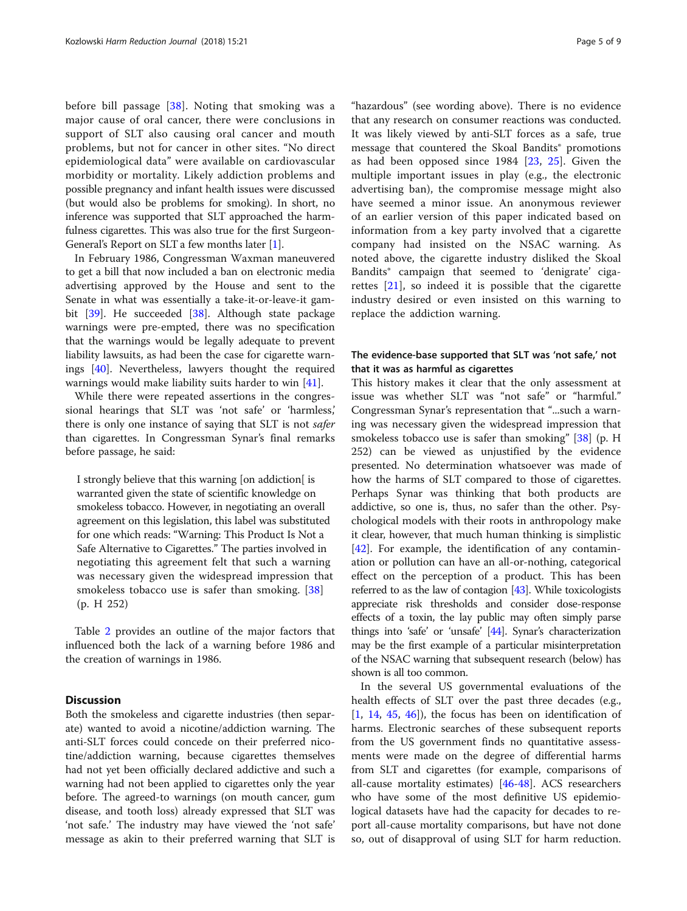before bill passage  $[38]$  $[38]$ . Noting that smoking was a major cause of oral cancer, there were conclusions in support of SLT also causing oral cancer and mouth problems, but not for cancer in other sites. "No direct epidemiological data" were available on cardiovascular morbidity or mortality. Likely addiction problems and possible pregnancy and infant health issues were discussed (but would also be problems for smoking). In short, no inference was supported that SLT approached the harmfulness cigarettes. This was also true for the first Surgeon-General's Report on SLT a few months later [\[1](#page-6-0)].

In February 1986, Congressman Waxman maneuvered to get a bill that now included a ban on electronic media advertising approved by the House and sent to the Senate in what was essentially a take-it-or-leave-it gam-bit [[39\]](#page-7-0). He succeeded [\[38\]](#page-7-0). Although state package warnings were pre-empted, there was no specification that the warnings would be legally adequate to prevent liability lawsuits, as had been the case for cigarette warnings [\[40](#page-7-0)]. Nevertheless, lawyers thought the required warnings would make liability suits harder to win [\[41](#page-7-0)].

While there were repeated assertions in the congressional hearings that SLT was 'not safe' or 'harmless,' there is only one instance of saying that SLT is not safer than cigarettes. In Congressman Synar's final remarks before passage, he said:

I strongly believe that this warning [on addiction[ is warranted given the state of scientific knowledge on smokeless tobacco. However, in negotiating an overall agreement on this legislation, this label was substituted for one which reads: "Warning: This Product Is Not a Safe Alternative to Cigarettes." The parties involved in negotiating this agreement felt that such a warning was necessary given the widespread impression that smokeless tobacco use is safer than smoking. [\[38\]](#page-7-0) (p. H 252)

Table [2](#page-5-0) provides an outline of the major factors that influenced both the lack of a warning before 1986 and the creation of warnings in 1986.

# **Discussion**

Both the smokeless and cigarette industries (then separate) wanted to avoid a nicotine/addiction warning. The anti-SLT forces could concede on their preferred nicotine/addiction warning, because cigarettes themselves had not yet been officially declared addictive and such a warning had not been applied to cigarettes only the year before. The agreed-to warnings (on mouth cancer, gum disease, and tooth loss) already expressed that SLT was 'not safe.' The industry may have viewed the 'not safe' message as akin to their preferred warning that SLT is

"hazardous" (see wording above). There is no evidence that any research on consumer reactions was conducted. It was likely viewed by anti-SLT forces as a safe, true message that countered the Skoal Bandits® promotions as had been opposed since 1984 [[23,](#page-7-0) [25](#page-7-0)]. Given the multiple important issues in play (e.g., the electronic advertising ban), the compromise message might also have seemed a minor issue. An anonymous reviewer of an earlier version of this paper indicated based on information from a key party involved that a cigarette company had insisted on the NSAC warning. As noted above, the cigarette industry disliked the Skoal Bandits® campaign that seemed to 'denigrate' cigarettes [[21](#page-7-0)], so indeed it is possible that the cigarette industry desired or even insisted on this warning to replace the addiction warning.

### The evidence-base supported that SLT was 'not safe,' not that it was as harmful as cigarettes

This history makes it clear that the only assessment at issue was whether SLT was "not safe" or "harmful." Congressman Synar's representation that "...such a warning was necessary given the widespread impression that smokeless tobacco use is safer than smoking" [\[38](#page-7-0)] (p. H 252) can be viewed as unjustified by the evidence presented. No determination whatsoever was made of how the harms of SLT compared to those of cigarettes. Perhaps Synar was thinking that both products are addictive, so one is, thus, no safer than the other. Psychological models with their roots in anthropology make it clear, however, that much human thinking is simplistic [[42\]](#page-7-0). For example, the identification of any contamination or pollution can have an all-or-nothing, categorical effect on the perception of a product. This has been referred to as the law of contagion [\[43](#page-7-0)]. While toxicologists appreciate risk thresholds and consider dose-response effects of a toxin, the lay public may often simply parse things into 'safe' or 'unsafe' [\[44\]](#page-7-0). Synar's characterization may be the first example of a particular misinterpretation of the NSAC warning that subsequent research (below) has shown is all too common.

In the several US governmental evaluations of the health effects of SLT over the past three decades (e.g., [[1,](#page-6-0) [14,](#page-7-0) [45](#page-7-0), [46](#page-7-0)]), the focus has been on identification of harms. Electronic searches of these subsequent reports from the US government finds no quantitative assessments were made on the degree of differential harms from SLT and cigarettes (for example, comparisons of all-cause mortality estimates) [[46](#page-7-0)[-48](#page-8-0)]. ACS researchers who have some of the most definitive US epidemiological datasets have had the capacity for decades to report all-cause mortality comparisons, but have not done so, out of disapproval of using SLT for harm reduction.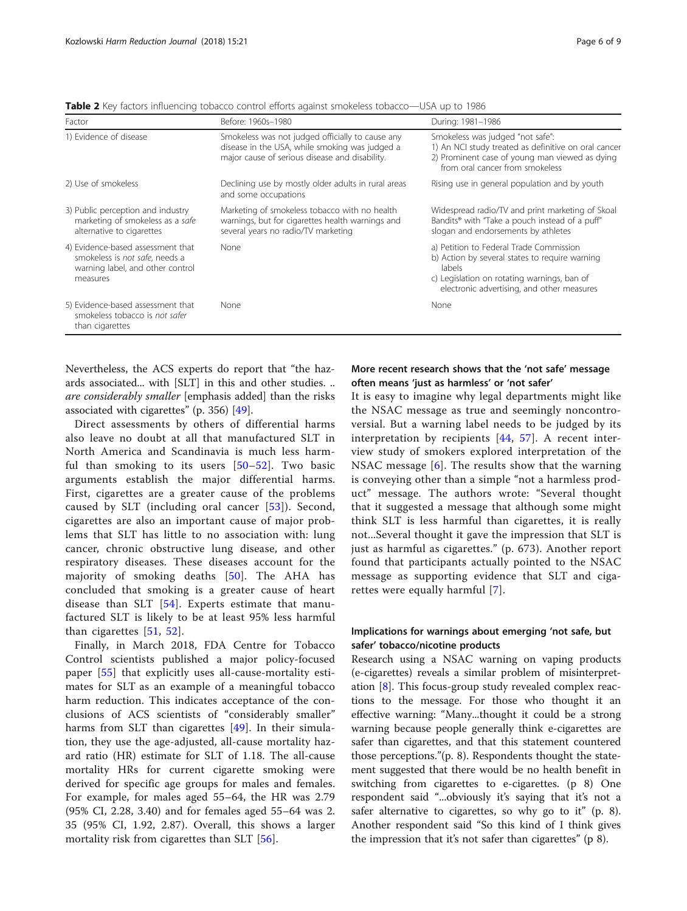| Factor                                                                                                              | Before: 1960s-1980                                                                                                                                   | During: 1981-1986                                                                                                                                                                                |
|---------------------------------------------------------------------------------------------------------------------|------------------------------------------------------------------------------------------------------------------------------------------------------|--------------------------------------------------------------------------------------------------------------------------------------------------------------------------------------------------|
| 1) Evidence of disease                                                                                              | Smokeless was not judged officially to cause any<br>disease in the USA, while smoking was judged a<br>major cause of serious disease and disability. | Smokeless was judged "not safe":<br>1) An NCI study treated as definitive on oral cancer<br>2) Prominent case of young man viewed as dying<br>from oral cancer from smokeless                    |
| 2) Use of smokeless                                                                                                 | Declining use by mostly older adults in rural areas<br>and some occupations                                                                          | Rising use in general population and by youth                                                                                                                                                    |
| 3) Public perception and industry<br>marketing of smokeless as a safe<br>alternative to cigarettes                  | Marketing of smokeless tobacco with no health<br>warnings, but for cigarettes health warnings and<br>several years no radio/TV marketing             | Widespread radio/TV and print marketing of Skoal<br>Bandits® with "Take a pouch instead of a puff"<br>slogan and endorsements by athletes                                                        |
| 4) Evidence-based assessment that<br>smokeless is not safe, needs a<br>warning label, and other control<br>measures | None                                                                                                                                                 | a) Petition to Federal Trade Commission<br>b) Action by several states to require warning<br>labels<br>c) Legislation on rotating warnings, ban of<br>electronic advertising, and other measures |
| 5) Evidence-based assessment that<br>smokeless tobacco is not safer<br>than cigarettes                              | None                                                                                                                                                 | None                                                                                                                                                                                             |

<span id="page-5-0"></span>Table 2 Key factors influencing tobacco control efforts against smokeless tobacco—USA up to 1986

Nevertheless, the ACS experts do report that "the hazards associated... with [SLT] in this and other studies. .. are considerably smaller [emphasis added] than the risks associated with cigarettes" (p. 356) [\[49](#page-8-0)].

Direct assessments by others of differential harms also leave no doubt at all that manufactured SLT in North America and Scandinavia is much less harmful than smoking to its users [\[50](#page-8-0)–[52\]](#page-8-0). Two basic arguments establish the major differential harms. First, cigarettes are a greater cause of the problems caused by SLT (including oral cancer [\[53](#page-8-0)]). Second, cigarettes are also an important cause of major problems that SLT has little to no association with: lung cancer, chronic obstructive lung disease, and other respiratory diseases. These diseases account for the majority of smoking deaths [\[50\]](#page-8-0). The AHA has concluded that smoking is a greater cause of heart disease than SLT [[54\]](#page-8-0). Experts estimate that manufactured SLT is likely to be at least 95% less harmful than cigarettes [[51,](#page-8-0) [52](#page-8-0)].

Finally, in March 2018, FDA Centre for Tobacco Control scientists published a major policy-focused paper [[55\]](#page-8-0) that explicitly uses all-cause-mortality estimates for SLT as an example of a meaningful tobacco harm reduction. This indicates acceptance of the conclusions of ACS scientists of "considerably smaller" harms from SLT than cigarettes [[49\]](#page-8-0). In their simulation, they use the age-adjusted, all-cause mortality hazard ratio (HR) estimate for SLT of 1.18. The all-cause mortality HRs for current cigarette smoking were derived for specific age groups for males and females. For example, for males aged 55–64, the HR was 2.79 (95% CI, 2.28, 3.40) and for females aged 55–64 was 2. 35 (95% CI, 1.92, 2.87). Overall, this shows a larger mortality risk from cigarettes than SLT [[56\]](#page-8-0).

## More recent research shows that the 'not safe' message often means 'just as harmless' or 'not safer'

It is easy to imagine why legal departments might like the NSAC message as true and seemingly noncontroversial. But a warning label needs to be judged by its interpretation by recipients [\[44](#page-7-0), [57\]](#page-8-0). A recent interview study of smokers explored interpretation of the NSAC message [[6\]](#page-7-0). The results show that the warning is conveying other than a simple "not a harmless product" message. The authors wrote: "Several thought that it suggested a message that although some might think SLT is less harmful than cigarettes, it is really not...Several thought it gave the impression that SLT is just as harmful as cigarettes." (p. 673). Another report found that participants actually pointed to the NSAC message as supporting evidence that SLT and cigarettes were equally harmful [\[7\]](#page-7-0).

# Implications for warnings about emerging 'not safe, but safer' tobacco/nicotine products

Research using a NSAC warning on vaping products (e-cigarettes) reveals a similar problem of misinterpretation [[8\]](#page-7-0). This focus-group study revealed complex reactions to the message. For those who thought it an effective warning: "Many...thought it could be a strong warning because people generally think e-cigarettes are safer than cigarettes, and that this statement countered those perceptions."(p. 8). Respondents thought the statement suggested that there would be no health benefit in switching from cigarettes to e-cigarettes. (p 8) One respondent said "...obviously it's saying that it's not a safer alternative to cigarettes, so why go to it" (p. 8). Another respondent said "So this kind of I think gives the impression that it's not safer than cigarettes" (p 8).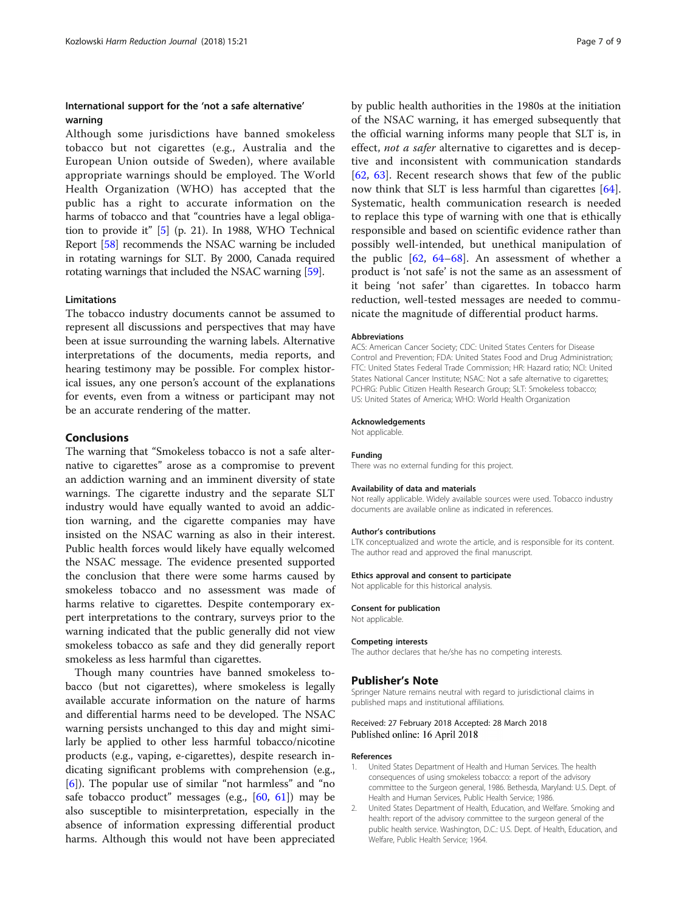### <span id="page-6-0"></span>International support for the 'not a safe alternative' warning

Although some jurisdictions have banned smokeless tobacco but not cigarettes (e.g., Australia and the European Union outside of Sweden), where available appropriate warnings should be employed. The World Health Organization (WHO) has accepted that the public has a right to accurate information on the harms of tobacco and that "countries have a legal obligation to provide it" [\[5\]](#page-7-0) (p. 21). In 1988, WHO Technical Report [\[58](#page-8-0)] recommends the NSAC warning be included in rotating warnings for SLT. By 2000, Canada required rotating warnings that included the NSAC warning [[59](#page-8-0)].

### **Limitations**

The tobacco industry documents cannot be assumed to represent all discussions and perspectives that may have been at issue surrounding the warning labels. Alternative interpretations of the documents, media reports, and hearing testimony may be possible. For complex historical issues, any one person's account of the explanations for events, even from a witness or participant may not be an accurate rendering of the matter.

### Conclusions

The warning that "Smokeless tobacco is not a safe alternative to cigarettes" arose as a compromise to prevent an addiction warning and an imminent diversity of state warnings. The cigarette industry and the separate SLT industry would have equally wanted to avoid an addiction warning, and the cigarette companies may have insisted on the NSAC warning as also in their interest. Public health forces would likely have equally welcomed the NSAC message. The evidence presented supported the conclusion that there were some harms caused by smokeless tobacco and no assessment was made of harms relative to cigarettes. Despite contemporary expert interpretations to the contrary, surveys prior to the warning indicated that the public generally did not view smokeless tobacco as safe and they did generally report smokeless as less harmful than cigarettes.

Though many countries have banned smokeless tobacco (but not cigarettes), where smokeless is legally available accurate information on the nature of harms and differential harms need to be developed. The NSAC warning persists unchanged to this day and might similarly be applied to other less harmful tobacco/nicotine products (e.g., vaping, e-cigarettes), despite research indicating significant problems with comprehension (e.g., [[6\]](#page-7-0)). The popular use of similar "not harmless" and "no safe tobacco product" messages (e.g., [[60,](#page-8-0) [61](#page-8-0)]) may be also susceptible to misinterpretation, especially in the absence of information expressing differential product harms. Although this would not have been appreciated

by public health authorities in the 1980s at the initiation of the NSAC warning, it has emerged subsequently that the official warning informs many people that SLT is, in effect, *not a safer* alternative to cigarettes and is deceptive and inconsistent with communication standards [[62,](#page-8-0) [63](#page-8-0)]. Recent research shows that few of the public now think that SLT is less harmful than cigarettes [\[64](#page-8-0)]. Systematic, health communication research is needed to replace this type of warning with one that is ethically responsible and based on scientific evidence rather than possibly well-intended, but unethical manipulation of the public  $[62, 64-68]$  $[62, 64-68]$  $[62, 64-68]$  $[62, 64-68]$  $[62, 64-68]$  $[62, 64-68]$  $[62, 64-68]$ . An assessment of whether a product is 'not safe' is not the same as an assessment of it being 'not safer' than cigarettes. In tobacco harm reduction, well-tested messages are needed to communicate the magnitude of differential product harms.

#### Abbreviations

ACS: American Cancer Society; CDC: United States Centers for Disease Control and Prevention; FDA: United States Food and Drug Administration; FTC: United States Federal Trade Commission; HR: Hazard ratio; NCI: United States National Cancer Institute; NSAC: Not a safe alternative to cigarettes; PCHRG: Public Citizen Health Research Group; SLT: Smokeless tobacco; US: United States of America; WHO: World Health Organization

#### Acknowledgements

Not applicable.

#### Funding

There was no external funding for this project.

#### Availability of data and materials

Not really applicable. Widely available sources were used. Tobacco industry documents are available online as indicated in references.

#### Author's contributions

LTK conceptualized and wrote the article, and is responsible for its content. The author read and approved the final manuscript.

#### Ethics approval and consent to participate

Not applicable for this historical analysis.

### Consent for publication

Not applicable.

#### Competing interests

The author declares that he/she has no competing interests.

#### Publisher's Note

Springer Nature remains neutral with regard to jurisdictional claims in published maps and institutional affiliations.

### Received: 27 February 2018 Accepted: 28 March 2018 Published online: 16 April 2018

#### References

- 1. United States Department of Health and Human Services. The health consequences of using smokeless tobacco: a report of the advisory committee to the Surgeon general, 1986. Bethesda, Maryland: U.S. Dept. of Health and Human Services, Public Health Service; 1986.
- 2. United States Department of Health, Education, and Welfare. Smoking and health: report of the advisory committee to the surgeon general of the public health service. Washington, D.C.: U.S. Dept. of Health, Education, and Welfare, Public Health Service; 1964.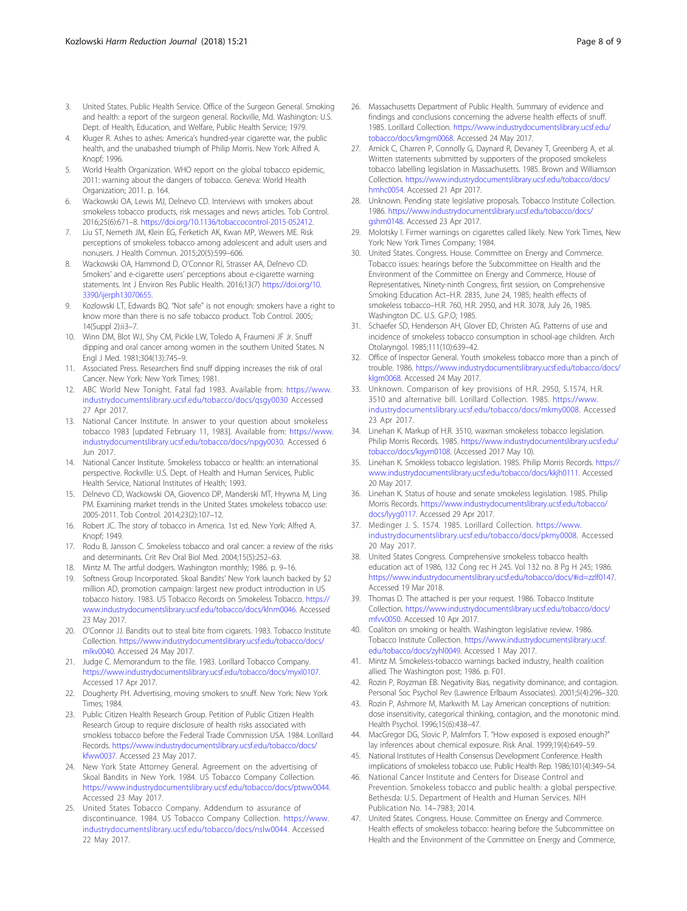- <span id="page-7-0"></span>3. United States. Public Health Service. Office of the Surgeon General. Smoking and health: a report of the surgeon general. Rockville, Md. Washington: U.S. Dept. of Health, Education, and Welfare, Public Health Service; 1979.
- 4. Kluger R. Ashes to ashes: America's hundred-year cigarette war, the public health, and the unabashed triumph of Philip Morris. New York: Alfred A. Knopf; 1996.
- 5. World Health Organization. WHO report on the global tobacco epidemic, 2011: warning about the dangers of tobacco. Geneva: World Health Organization; 2011. p. 164.
- Wackowski OA, Lewis MJ, Delnevo CD. Interviews with smokers about smokeless tobacco products, risk messages and news articles. Tob Control. 2016;25(6):671–8. [https://doi.org/10.1136/tobaccocontrol-2015-052412.](https://doi.org/10.1136/tobaccocontrol-2015-052412)
- 7. Liu ST, Nemeth JM, Klein EG, Ferketich AK, Kwan MP, Wewers ME. Risk perceptions of smokeless tobacco among adolescent and adult users and nonusers. J Health Commun. 2015;20(5):599–606.
- 8. Wackowski OA, Hammond D, O'Connor RJ, Strasser AA, Delnevo CD. Smokers' and e-cigarette users' perceptions about e-cigarette warning statements. Int J Environ Res Public Health. 2016;13(7) [https://doi.org/10.](https://doi.org/10.3390/ijerph13070655) [3390/ijerph13070655](https://doi.org/10.3390/ijerph13070655).
- 9. Kozlowski LT, Edwards BQ. "Not safe" is not enough: smokers have a right to know more than there is no safe tobacco product. Tob Control. 2005; 14(Suppl 2):ii3–7.
- 10. Winn DM, Blot WJ, Shy CM, Pickle LW, Toledo A, Fraumeni JF Jr. Snuff dipping and oral cancer among women in the southern United States. N Engl J Med. 1981;304(13):745–9.
- 11. Associated Press. Researchers find snuff dipping increases the risk of oral Cancer. New York: New York Times; 1981.
- 12. ABC World New Tonight. Fatal fad 1983. Available from: [https://www.](https://www.industrydocumentslibrary.ucsf.edu/tobacco/docs/qsgy0030) [industrydocumentslibrary.ucsf.edu/tobacco/docs/qsgy0030](https://www.industrydocumentslibrary.ucsf.edu/tobacco/docs/qsgy0030) Accessed 27 Apr 2017.
- 13. National Cancer Institute. In answer to your question about smokeless tobacco 1983 [updated February 11, 1983]. Available from: [https://www.](https://www.industrydocumentslibrary.ucsf.edu/tobacco/docs/npgy0030) [industrydocumentslibrary.ucsf.edu/tobacco/docs/npgy0030](https://www.industrydocumentslibrary.ucsf.edu/tobacco/docs/npgy0030). Accessed 6 Jun 2017.
- 14. National Cancer Institute. Smokeless tobacco or health: an international perspective. Rockville: U.S. Dept. of Health and Human Services, Public Health Service, National Institutes of Health; 1993.
- 15. Delnevo CD, Wackowski OA, Giovenco DP, Manderski MT, Hrywna M, Ling PM. Examining market trends in the United States smokeless tobacco use: 2005-2011. Tob Control. 2014;23(2):107–12.
- 16. Robert JC. The story of tobacco in America. 1st ed. New York: Alfred A. Knopf; 1949.
- 17. Rodu B, Jansson C. Smokeless tobacco and oral cancer: a review of the risks and determinants. Crit Rev Oral Biol Med. 2004;15(5):252–63.
- 18. Mintz M. The artful dodgers. Washington monthly; 1986. p. 9–16.
- 19. Softness Group Incorporated. Skoal Bandits' New York launch backed by \$2 million AD, promotion campaign: largest new product introduction in US tobacco history. 1983. US Tobacco Records on Smokeless Tobacco. [https://](https://www.industrydocumentslibrary.ucsf.edu/tobacco/docs/klnm0046) [www.industrydocumentslibrary.ucsf.edu/tobacco/docs/klnm0046](https://www.industrydocumentslibrary.ucsf.edu/tobacco/docs/klnm0046). Accessed 23 May 2017.
- 20. O'Connor JJ. Bandits out to steal bite from cigarets. 1983. Tobacco Institute Collection. [https://www.industrydocumentslibrary.ucsf.edu/tobacco/docs/](https://www.industrydocumentslibrary.ucsf.edu/tobacco/docs/mlkv0040) [mlkv0040.](https://www.industrydocumentslibrary.ucsf.edu/tobacco/docs/mlkv0040) Accessed 24 May 2017.
- 21. Judge C. Memorandum to the file. 1983. Lorillard Tobacco Company. [https://www.industrydocumentslibrary.ucsf.edu/tobacco/docs/myxl0107.](https://www.industrydocumentslibrary.ucsf.edu/tobacco/docs/myxl0107) Accessed 17 Apr 2017.
- 22. Dougherty PH. Advertising, moving smokers to snuff. New York: New York Times; 1984.
- 23. Public Citizen Health Research Group. Petition of Public Citizen Health Research Group to require disclosure of health risks associated with smokless tobacco before the Federal Trade Commission USA. 1984. Lorillard Records. [https://www.industrydocumentslibrary.ucsf.edu/tobacco/docs/](https://www.industrydocumentslibrary.ucsf.edu/tobacco/docs/kfww0037) [kfww0037](https://www.industrydocumentslibrary.ucsf.edu/tobacco/docs/kfww0037). Accessed 23 May 2017.
- 24. New York State Attorney General. Agreement on the advertising of Skoal Bandits in New York. 1984. US Tobacco Company Collection. <https://www.industrydocumentslibrary.ucsf.edu/tobacco/docs/ptww0044>. Accessed 23 May 2017.
- 25. United States Tobacco Company. Addendum to assurance of discontinuance. 1984. US Tobacco Company Collection. [https://www.](https://www.industrydocumentslibrary.ucsf.edu/tobacco/docs/nslw0044) [industrydocumentslibrary.ucsf.edu/tobacco/docs/nslw0044](https://www.industrydocumentslibrary.ucsf.edu/tobacco/docs/nslw0044). Accessed 22 May 2017.
- 26. Massachusetts Department of Public Health. Summary of evidence and findings and conclusions concerning the adverse health effects of snuff. 1985. Lorillard Collection. [https://www.industrydocumentslibrary.ucsf.edu/](https://www.industrydocumentslibrary.ucsf.edu/tobacco/docs/kmgm0068) [tobacco/docs/kmgm0068.](https://www.industrydocumentslibrary.ucsf.edu/tobacco/docs/kmgm0068) Accessed 24 May 2017.
- 27. Amick C, Charren P, Connolly G, Daynard R, Devaney T, Greenberg A, et al. Written statements submitted by supporters of the proposed smokeless tobacco labelling legislation in Massachusetts. 1985. Brown and Williamson Collection. [https://www.industrydocumentslibrary.ucsf.edu/tobacco/docs/](https://www.industrydocumentslibrary.ucsf.edu/tobacco/docs/hmhc0054) [hmhc0054.](https://www.industrydocumentslibrary.ucsf.edu/tobacco/docs/hmhc0054) Accessed 21 Apr 2017.
- 28. Unknown. Pending state legislative proposals. Tobacco Institute Collection. 1986. [https://www.industrydocumentslibrary.ucsf.edu/tobacco/docs/](https://www.industrydocumentslibrary.ucsf.edu/tobacco/docs/gshm0148%20%20) [gshm0148](https://www.industrydocumentslibrary.ucsf.edu/tobacco/docs/gshm0148%20%20). Accessed 23 Apr 2017.
- 29. Molotsky I. Firmer warnings on cigarettes called likely. New York Times, New York: New York Times Company; 1984.
- 30. United States. Congress. House. Committee on Energy and Commerce. Tobacco issues: hearings before the Subcommittee on Health and the Environment of the Committee on Energy and Commerce, House of Representatives, Ninety-ninth Congress, first session, on Comprehensive Smoking Education Act–H.R. 2835, June 24, 1985; health effects of smokeless tobacco–H.R. 760, H.R. 2950, and H.R. 3078, July 26, 1985. Washington DC. U.S. G.P.O; 1985.
- 31. Schaefer SD, Henderson AH, Glover ED, Christen AG. Patterns of use and incidence of smokeless tobacco consumption in school-age children. Arch Otolaryngol. 1985;111(10):639–42.
- 32. Office of Inspector General. Youth smokeless tobacco more than a pinch of trouble. 1986. [https://www.industrydocumentslibrary.ucsf.edu/tobacco/docs/](https://www.industrydocumentslibrary.ucsf.edu/tobacco/docs/klgm0068) [klgm0068](https://www.industrydocumentslibrary.ucsf.edu/tobacco/docs/klgm0068). Accessed 24 May 2017.
- 33. Unknown. Comparison of key provisions of H.R. 2950, S.1574, H.R. 3510 and alternative bill. Lorillard Collection. 1985. [https://www.](https://www.industrydocumentslibrary.ucsf.edu/tobacco/docs/mkmy0008) [industrydocumentslibrary.ucsf.edu/tobacco/docs/mkmy0008](https://www.industrydocumentslibrary.ucsf.edu/tobacco/docs/mkmy0008). Accessed 23 Apr 2017.
- 34. Linehan K. Markup of H.R. 3510, waxman smokeless tobacco legislation. Philip Morris Records. 1985. [https://www.industrydocumentslibrary.ucsf.edu/](https://www.industrydocumentslibrary.ucsf.edu/tobacco/docs/kgym0108) [tobacco/docs/kgym0108](https://www.industrydocumentslibrary.ucsf.edu/tobacco/docs/kgym0108). (Accessed 2017 May 10).
- 35. Linehan K. Smokless tobacco legislation. 1985. Philip Morris Records. [https://](https://www.industrydocumentslibrary.ucsf.edu/tobacco/docs/kkjh0111) [www.industrydocumentslibrary.ucsf.edu/tobacco/docs/kkjh0111.](https://www.industrydocumentslibrary.ucsf.edu/tobacco/docs/kkjh0111) Accessed 20 May 2017.
- 36. Linehan K. Status of house and senate smokeless legislation. 1985. Philip Morris Records. [https://www.industrydocumentslibrary.ucsf.edu/tobacco/](https://www.industrydocumentslibrary.ucsf.edu/tobacco/docs/lyyg0117) [docs/lyyg0117.](https://www.industrydocumentslibrary.ucsf.edu/tobacco/docs/lyyg0117) Accessed 29 Apr 2017.
- 37. Medinger J. S. 1574. 1985. Lorillard Collection. [https://www.](https://www.industrydocumentslibrary.ucsf.edu/tobacco/docs/pkmy0008) [industrydocumentslibrary.ucsf.edu/tobacco/docs/pkmy0008](https://www.industrydocumentslibrary.ucsf.edu/tobacco/docs/pkmy0008). Accessed 20 May 2017.
- 38. United States Congress. Comprehensive smokeless tobacco health education act of 1986, 132 Cong rec H 245. Vol 132 no. 8 Pg H 245; 1986. [https://www.industrydocumentslibrary.ucsf.edu/tobacco/docs/#id=zzlf0147.](https://www.industrydocumentslibrary.ucsf.edu/tobacco/docs/#id=zzlf0147) Accessed 19 Mar 2018.
- 39. Thomas D. The attached is per your request. 1986. Tobacco Institute Collection. [https://www.industrydocumentslibrary.ucsf.edu/tobacco/docs/](https://www.industrydocumentslibrary.ucsf.edu/tobacco/docs/mfvv0050) [mfvv0050](https://www.industrydocumentslibrary.ucsf.edu/tobacco/docs/mfvv0050). Accessed 10 Apr 2017.
- 40. Coaliton on smoking or health. Washington legislative review. 1986. Tobacco Institute Collection. [https://www.industrydocumentslibrary.ucsf.](https://www.industrydocumentslibrary.ucsf.edu/tobacco/docs/zyhl0049) [edu/tobacco/docs/zyhl0049](https://www.industrydocumentslibrary.ucsf.edu/tobacco/docs/zyhl0049). Accessed 1 May 2017.
- 41. Mintz M. Smokeless-tobacco warnings backed industry, health coalition allied. The Washington post; 1986. p. F01.
- 42. Rozin P, Royzman EB. Negativity Bias, negativity dominance, and contagion. Personal Soc Psychol Rev (Lawrence Erlbaum Associates). 2001;5(4):296–320.
- 43. Rozin P, Ashmore M, Markwith M. Lay American conceptions of nutrition: dose insensitivity, categorical thinking, contagion, and the monotonic mind. Health Psychol. 1996;15(6):438–47.
- 44. MacGregor DG, Slovic P, Malmfors T. "How exposed is exposed enough?" lay inferences about chemical exposure. Risk Anal. 1999;19(4):649–59.
- 45. National Institutes of Health Consensus Development Conference. Health implications of smokeless tobacco use. Public Health Rep. 1986;101(4):349–54.
- 46. National Cancer Institute and Centers for Disease Control and Prevention. Smokeless tobacco and public health: a global perspective. Bethesda: U.S. Department of Health and Human Services. NIH Publication No. 14–7983; 2014.
- 47. United States. Congress. House. Committee on Energy and Commerce. Health effects of smokeless tobacco: hearing before the Subcommittee on Health and the Environment of the Committee on Energy and Commerce,